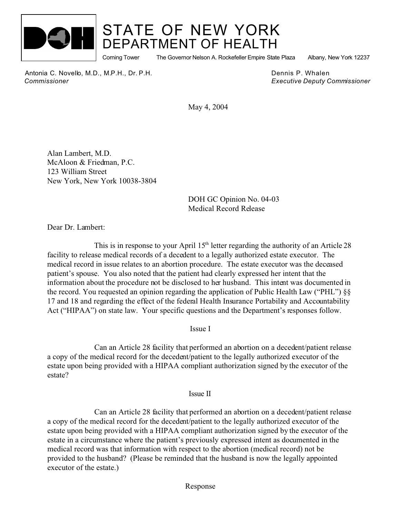

## STATE OF NEW YORK DEPARTMENT OF HEALTH

Corning Tower The Governor Nelson A. Rockefeller Empire State Plaza Albany, New York 12237

Antonia C. Novello, M.D., M.P.H., Dr. P.H. Dennis P. Whalen  *Commissioner Executive Deputy Commissioner*

May 4, 2004

Alan Lambert, M.D. McAloon & Friedman, P.C. 123 William Street New York, New York 10038-3804

> DOH GC Opinion No. 04-03 Medical Record Release

Dear Dr. Lambert:

This is in response to your April  $15<sup>th</sup>$  letter regarding the authority of an Article 28 facility to release medical records of a decedent to a legally authorized estate executor. The medical record in issue relates to an abortion procedure. The estate executor was the deceased patient's spouse. You also noted that the patient had clearly expressed her intent that the information about the procedure not be disclosed to her husband. This intent was documented in the record. You requested an opinion regarding the application of Public Health Law ("PHL") §§ 17 and 18 and regarding the effect of the federal Health Insurance Portability and Accountability Act ("HIPAA") on state law. Your specific questions and the Department's responses follow.

Issue I

Can an Article 28 facility that performed an abortion on a decedent/patient release a copy of the medical record for the decedent/patient to the legally authorized executor of the estate upon being provided with a HIPAA compliant authorization signed by the executor of the estate?

Issue II

Can an Article 28 facility that performed an abortion on a decedent/patient release a copy of the medical record for the decedent/patient to the legally authorized executor of the estate upon being provided with a HIPAA compliant authorization signed by the executor of the estate in a circumstance where the patient's previously expressed intent as documented in the medical record was that information with respect to the abortion (medical record) not be provided to the husband? (Please be reminded that the husband is now the legally appointed executor of the estate.)

Response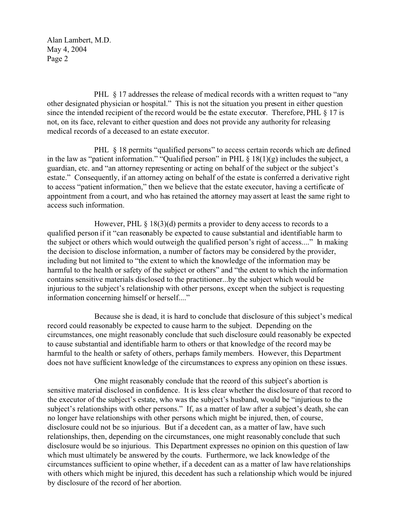Alan Lambert, M.D. May 4, 2004 Page 2

PHL  $\&$  17 addresses the release of medical records with a written request to "any" other designated physician or hospital." This is not the situation you present in either question since the intended recipient of the record would be the estate executor. Therefore, PHL § 17 is not, on its face, relevant to either question and does not provide any authority for releasing medical records of a deceased to an estate executor.

PHL § 18 permits "qualified persons" to access certain records which are defined in the law as "patient information." "Qualified person" in PHL  $\S$  18(1)(g) includes the subject, a guardian, etc. and "an attorney representing or acting on behalf of the subject or the subject's estate." Consequently, if an attorney acting on behalf of the estate is conferred a derivative right to access "patient information," then we believe that the estate executor, having a certificate of appointment from a court, and who has retained the attorney may assert at least the same right to access such information.

However, PHL  $\S$  18(3)(d) permits a provider to deny access to records to a qualified person if it "can reasonably be expected to cause substantial and identifiable harm to the subject or others which would outweigh the qualified person's right of access...." In making the decision to disclose information, a number of factors may be considered by the provider, including but not limited to "the extent to which the knowledge of the information may be harmful to the health or safety of the subject or others" and "the extent to which the information contains sensitive materials disclosed to the practitioner...by the subject which would be injurious to the subject's relationship with other persons, except when the subject is requesting information concerning himself or herself...."

Because she is dead, it is hard to conclude that disclosure of this subject's medical record could reasonably be expected to cause harm to the subject. Depending on the circumstances, one might reasonably conclude that such disclosure could reasonably be expected to cause substantial and identifiable harm to others or that knowledge of the record may be harmful to the health or safety of others, perhaps family members. However, this Department does not have sufficient knowledge of the circumstances to express any opinion on these issues.

One might reasonably conclude that the record of this subject's abortion is sensitive material disclosed in confidence. It is less clear whether the disclosure of that record to the executor of the subject's estate, who was the subject's husband, would be "injurious to the subject's relationships with other persons." If, as a matter of law after a subject's death, she can no longer have relationships with other persons which might be injured, then, of course, disclosure could not be so injurious. But if a decedent can, as a matter of law, have such relationships, then, depending on the circumstances, one might reasonably conclude that such disclosure would be so injurious. This Department expresses no opinion on this question of law which must ultimately be answered by the courts. Furthermore, we lack knowledge of the circumstances sufficient to opine whether, if a decedent can as a matter of law have relationships with others which might be injured, this decedent has such a relationship which would be injured by disclosure of the record of her abortion.